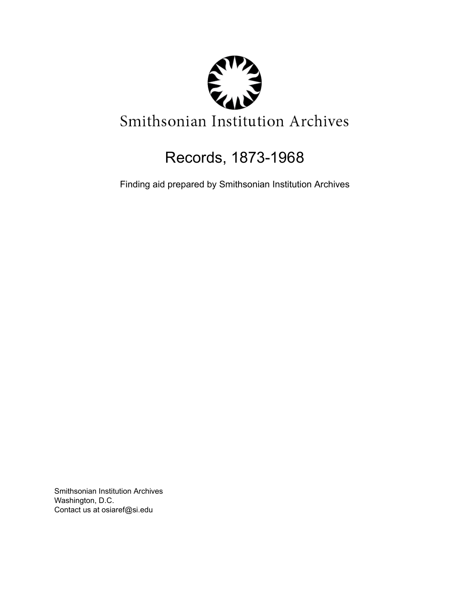

# Records, 1873-1968

Finding aid prepared by Smithsonian Institution Archives

Smithsonian Institution Archives Washington, D.C. Contact us at osiaref@si.edu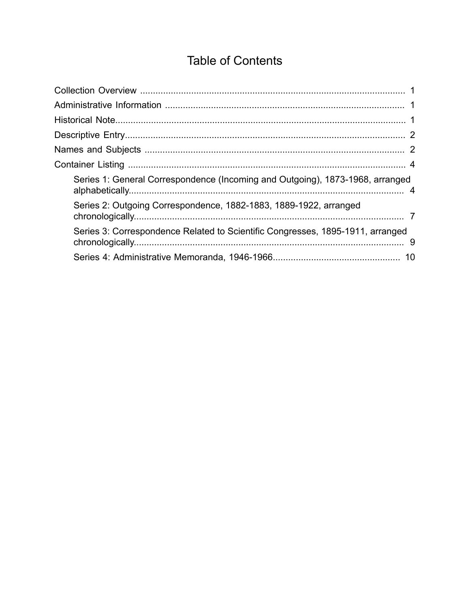# **Table of Contents**

<span id="page-1-0"></span>

| Series 1: General Correspondence (Incoming and Outgoing), 1873-1968, arranged  |  |
|--------------------------------------------------------------------------------|--|
| Series 2: Outgoing Correspondence, 1882-1883, 1889-1922, arranged              |  |
| Series 3: Correspondence Related to Scientific Congresses, 1895-1911, arranged |  |
|                                                                                |  |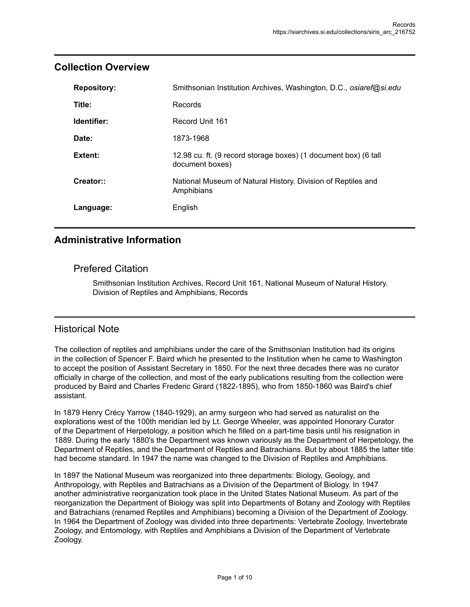| <b>Repository:</b> | Smithsonian Institution Archives, Washington, D.C., osiaref@si.edu                 |
|--------------------|------------------------------------------------------------------------------------|
| Title:             | Records                                                                            |
| Identifier:        | Record Unit 161                                                                    |
| Date:              | 1873-1968                                                                          |
| Extent:            | 12.98 cu. ft. (9 record storage boxes) (1 document box) (6 tall<br>document boxes) |
| Creator::          | National Museum of Natural History. Division of Reptiles and<br>Amphibians         |
| Language:          | English                                                                            |

#### <span id="page-2-0"></span>**Collection Overview**

#### <span id="page-2-1"></span>**Administrative Information**

#### Prefered Citation

Smithsonian Institution Archives, Record Unit 161, National Museum of Natural History. Division of Reptiles and Amphibians, Records

#### <span id="page-2-2"></span>Historical Note

The collection of reptiles and amphibians under the care of the Smithsonian Institution had its origins in the collection of Spencer F. Baird which he presented to the Institution when he came to Washington to accept the position of Assistant Secretary in 1850. For the next three decades there was no curator officially in charge of the collection, and most of the early publications resulting from the collection were produced by Baird and Charles Frederic Girard (1822-1895), who from 1850-1860 was Baird's chief assistant.

In 1879 Henry Crécy Yarrow (1840-1929), an army surgeon who had served as naturalist on the explorations west of the 100th meridian led by Lt. George Wheeler, was appointed Honorary Curator of the Department of Herpetology, a position which he filled on a part-time basis until his resignation in 1889. During the early 1880's the Department was known variously as the Department of Herpetology, the Department of Reptiles, and the Department of Reptiles and Batrachians. But by about 1885 the latter title had become standard. In 1947 the name was changed to the Division of Reptiles and Amphibians.

In 1897 the National Museum was reorganized into three departments: Biology, Geology, and Anthropology, with Reptiles and Batrachians as a Division of the Department of Biology. In 1947 another administrative reorganization took place in the United States National Museum. As part of the reorganization the Department of Biology was split into Departments of Botany and Zoology with Reptiles and Batrachians (renamed Reptiles and Amphibians) becoming a Division of the Department of Zoology. In 1964 the Department of Zoology was divided into three departments: Vertebrate Zoology, Invertebrate Zoology, and Entomology, with Reptiles and Amphibians a Division of the Department of Vertebrate Zoology.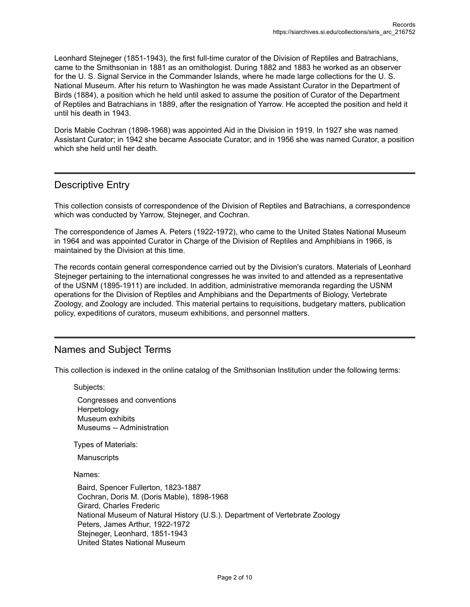Leonhard Stejneger (1851-1943), the first full-time curator of the Division of Reptiles and Batrachians, came to the Smithsonian in 1881 as an ornithologist. During 1882 and 1883 he worked as an observer for the U. S. Signal Service in the Commander Islands, where he made large collections for the U. S. National Museum. After his return to Washington he was made Assistant Curator in the Department of Birds (1884), a position which he held until asked to assume the position of Curator of the Department of Reptiles and Batrachians in 1889, after the resignation of Yarrow. He accepted the position and held it until his death in 1943.

Doris Mable Cochran (1898-1968) was appointed Aid in the Division in 1919. In 1927 she was named Assistant Curator; in 1942 she became Associate Curator; and in 1956 she was named Curator, a position which she held until her death.

#### <span id="page-3-0"></span>Descriptive Entry

This collection consists of correspondence of the Division of Reptiles and Batrachians, a correspondence which was conducted by Yarrow, Stejneger, and Cochran.

The correspondence of James A. Peters (1922-1972), who came to the United States National Museum in 1964 and was appointed Curator in Charge of the Division of Reptiles and Amphibians in 1966, is maintained by the Division at this time.

The records contain general correspondence carried out by the Division's curators. Materials of Leonhard Stejneger pertaining to the international congresses he was invited to and attended as a representative of the USNM (1895-1911) are included. In addition, administrative memoranda regarding the USNM operations for the Division of Reptiles and Amphibians and the Departments of Biology, Vertebrate Zoology, and Zoology are included. This material pertains to requisitions, budgetary matters, publication policy, expeditions of curators, museum exhibitions, and personnel matters.

#### <span id="page-3-1"></span>Names and Subject Terms

This collection is indexed in the online catalog of the Smithsonian Institution under the following terms:

Subjects:

Congresses and conventions Herpetology Museum exhibits Museums -- Administration

Types of Materials:

**Manuscripts** 

Names:

Baird, Spencer Fullerton, 1823-1887 Cochran, Doris M. (Doris Mable), 1898-1968 Girard, Charles Frederic National Museum of Natural History (U.S.). Department of Vertebrate Zoology Peters, James Arthur, 1922-1972 Stejneger, Leonhard, 1851-1943 United States National Museum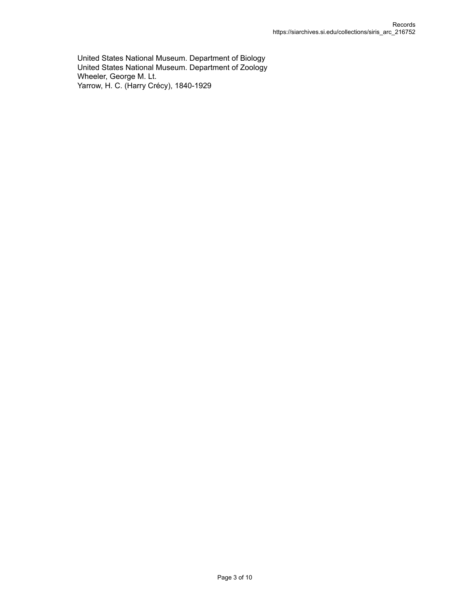United States National Museum. Department of Biology United States National Museum. Department of Zoology Wheeler, George M. Lt. Yarrow, H. C. (Harry Crécy), 1840-1929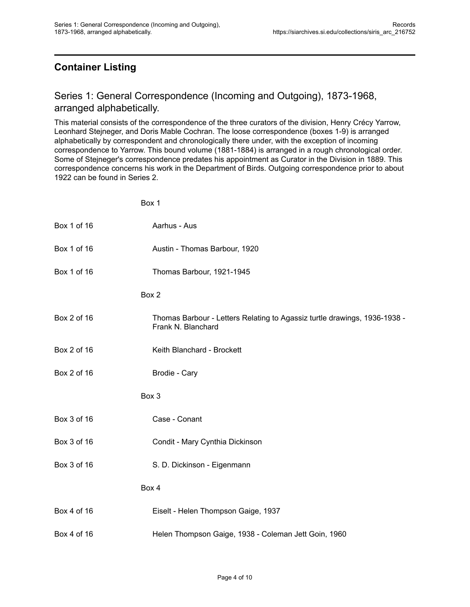Box 1

# <span id="page-5-0"></span>**Container Listing**

#### <span id="page-5-1"></span>Series 1: General Correspondence (Incoming and Outgoing), 1873-1968, arranged alphabetically.

This material consists of the correspondence of the three curators of the division, Henry Crécy Yarrow, Leonhard Stejneger, and Doris Mable Cochran. The loose correspondence (boxes 1-9) is arranged alphabetically by correspondent and chronologically there under, with the exception of incoming correspondence to Yarrow. This bound volume (1881-1884) is arranged in a rough chronological order. Some of Stejneger's correspondence predates his appointment as Curator in the Division in 1889. This correspondence concerns his work in the Department of Birds. Outgoing correspondence prior to about 1922 can be found in Series 2.

|             | ו גיט                                                                                           |
|-------------|-------------------------------------------------------------------------------------------------|
| Box 1 of 16 | Aarhus - Aus                                                                                    |
| Box 1 of 16 | Austin - Thomas Barbour, 1920                                                                   |
| Box 1 of 16 | Thomas Barbour, 1921-1945                                                                       |
|             | Box 2                                                                                           |
| Box 2 of 16 | Thomas Barbour - Letters Relating to Agassiz turtle drawings, 1936-1938 -<br>Frank N. Blanchard |
| Box 2 of 16 | Keith Blanchard - Brockett                                                                      |
| Box 2 of 16 | Brodie - Cary                                                                                   |
|             | Box 3                                                                                           |
| Box 3 of 16 | Case - Conant                                                                                   |
| Box 3 of 16 | Condit - Mary Cynthia Dickinson                                                                 |
| Box 3 of 16 | S. D. Dickinson - Eigenmann                                                                     |
|             | Box 4                                                                                           |
| Box 4 of 16 | Eiselt - Helen Thompson Gaige, 1937                                                             |
| Box 4 of 16 | Helen Thompson Gaige, 1938 - Coleman Jett Goin, 1960                                            |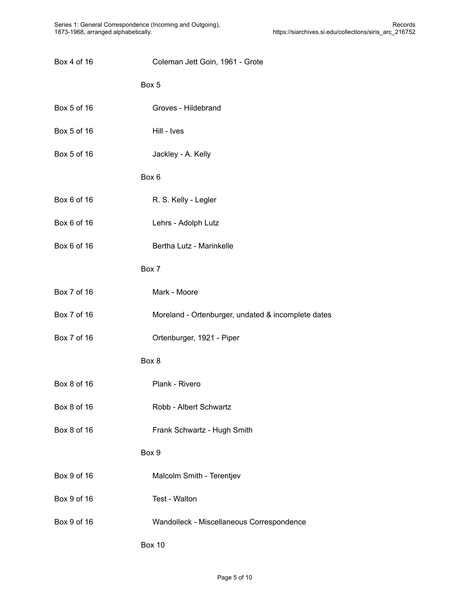| Box 4 of 16 | Coleman Jett Goin, 1961 - Grote                    |
|-------------|----------------------------------------------------|
|             | Box 5                                              |
| Box 5 of 16 | Groves - Hildebrand                                |
| Box 5 of 16 | Hill - Ives                                        |
| Box 5 of 16 | Jackley - A. Kelly                                 |
|             | Box 6                                              |
| Box 6 of 16 | R. S. Kelly - Legler                               |
| Box 6 of 16 | Lehrs - Adolph Lutz                                |
| Box 6 of 16 | Bertha Lutz - Marinkelle                           |
|             | Box 7                                              |
| Box 7 of 16 | Mark - Moore                                       |
| Box 7 of 16 | Moreland - Ortenburger, undated & incomplete dates |
| Box 7 of 16 | Ortenburger, 1921 - Piper                          |
|             | Box 8                                              |
| Box 8 of 16 | Plank - Rivero                                     |
| Box 8 of 16 | Robb - Albert Schwartz                             |
| Box 8 of 16 | Frank Schwartz - Hugh Smith                        |
|             | Box 9                                              |
| Box 9 of 16 | Malcolm Smith - Terentjev                          |
| Box 9 of 16 | Test - Walton                                      |
| Box 9 of 16 | Wandolleck - Miscellaneous Correspondence          |
|             | <b>Box 10</b>                                      |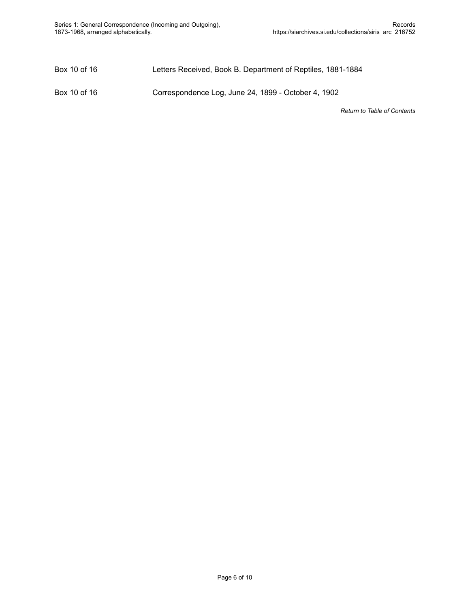Box 10 of 16 Letters Received, Book B. Department of Reptiles, 1881-1884

Box 10 of 16 Correspondence Log, June 24, 1899 - October 4, 1902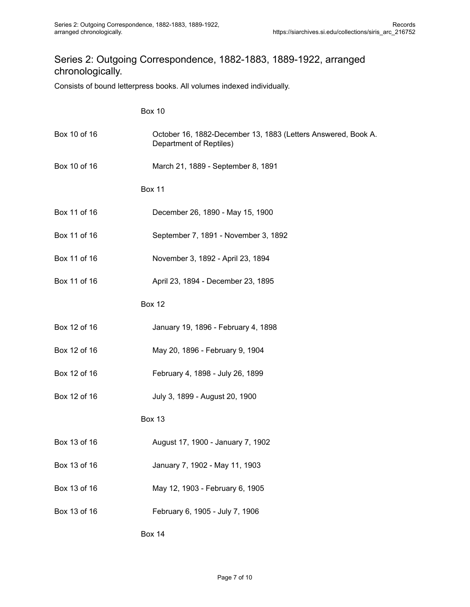## <span id="page-8-0"></span>Series 2: Outgoing Correspondence, 1882-1883, 1889-1922, arranged chronologically.

Consists of bound letterpress books. All volumes indexed individually.

|              | <b>Box 10</b>                                                                            |
|--------------|------------------------------------------------------------------------------------------|
| Box 10 of 16 | October 16, 1882-December 13, 1883 (Letters Answered, Book A.<br>Department of Reptiles) |
| Box 10 of 16 | March 21, 1889 - September 8, 1891                                                       |
|              | <b>Box 11</b>                                                                            |
| Box 11 of 16 | December 26, 1890 - May 15, 1900                                                         |
| Box 11 of 16 | September 7, 1891 - November 3, 1892                                                     |
| Box 11 of 16 | November 3, 1892 - April 23, 1894                                                        |
| Box 11 of 16 | April 23, 1894 - December 23, 1895                                                       |
|              | <b>Box 12</b>                                                                            |
| Box 12 of 16 | January 19, 1896 - February 4, 1898                                                      |
| Box 12 of 16 | May 20, 1896 - February 9, 1904                                                          |
| Box 12 of 16 | February 4, 1898 - July 26, 1899                                                         |
| Box 12 of 16 | July 3, 1899 - August 20, 1900                                                           |
|              | <b>Box 13</b>                                                                            |
| Box 13 of 16 | August 17, 1900 - January 7, 1902                                                        |
| Box 13 of 16 | January 7, 1902 - May 11, 1903                                                           |
| Box 13 of 16 | May 12, 1903 - February 6, 1905                                                          |
| Box 13 of 16 | February 6, 1905 - July 7, 1906                                                          |

Box 14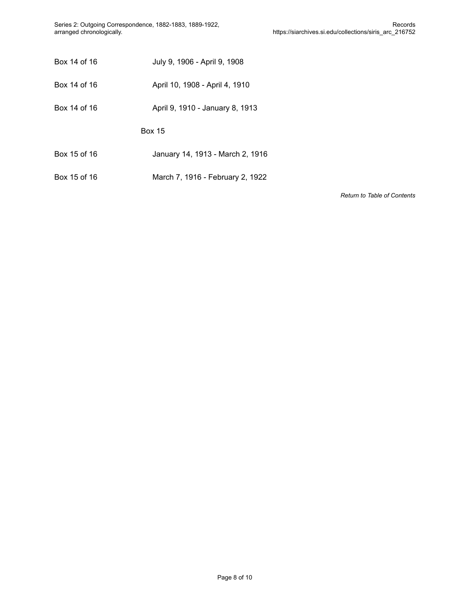Series 2: Outgoing Correspondence, 1882-1883, 1889-1922, arranged chronologically.

| Box 14 of 16<br>July 9, 1906 - April 9, 1908 |  |
|----------------------------------------------|--|
|----------------------------------------------|--|

- Box 14 of 16 April 10, 1908 April 4, 1910
- Box 14 of 16 **April 9, 1910 January 8, 1913**

Box 15

- Box 15 of 16 January 14, 1913 March 2, 1916
- Box 15 of 16 March 7, 1916 February 2, 1922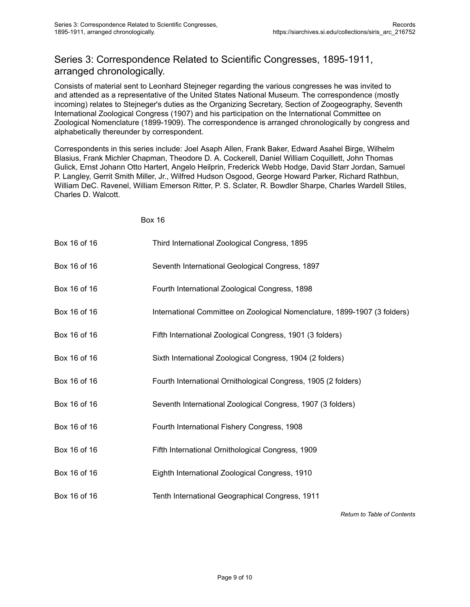## <span id="page-10-0"></span>Series 3: Correspondence Related to Scientific Congresses, 1895-1911, arranged chronologically.

Consists of material sent to Leonhard Stejneger regarding the various congresses he was invited to and attended as a representative of the United States National Museum. The correspondence (mostly incoming) relates to Stejneger's duties as the Organizing Secretary, Section of Zoogeography, Seventh International Zoological Congress (1907) and his participation on the International Committee on Zoological Nomenclature (1899-1909). The correspondence is arranged chronologically by congress and alphabetically thereunder by correspondent.

Correspondents in this series include: Joel Asaph Allen, Frank Baker, Edward Asahel Birge, Wilhelm Blasius, Frank Michler Chapman, Theodore D. A. Cockerell, Daniel William Coquillett, John Thomas Gulick, Ernst Johann Otto Hartert, Angelo Heilprin, Frederick Webb Hodge, David Starr Jordan, Samuel P. Langley, Gerrit Smith Miller, Jr., Wilfred Hudson Osgood, George Howard Parker, Richard Rathbun, William DeC. Ravenel, William Emerson Ritter, P. S. Sclater, R. Bowdler Sharpe, Charles Wardell Stiles, Charles D. Walcott.

Box 16

| Box 16 of 16 | Third International Zoological Congress, 1895                             |
|--------------|---------------------------------------------------------------------------|
| Box 16 of 16 | Seventh International Geological Congress, 1897                           |
| Box 16 of 16 | Fourth International Zoological Congress, 1898                            |
| Box 16 of 16 | International Committee on Zoological Nomenclature, 1899-1907 (3 folders) |
| Box 16 of 16 | Fifth International Zoological Congress, 1901 (3 folders)                 |
| Box 16 of 16 | Sixth International Zoological Congress, 1904 (2 folders)                 |
| Box 16 of 16 | Fourth International Ornithological Congress, 1905 (2 folders)            |
| Box 16 of 16 | Seventh International Zoological Congress, 1907 (3 folders)               |
| Box 16 of 16 | Fourth International Fishery Congress, 1908                               |
| Box 16 of 16 | Fifth International Ornithological Congress, 1909                         |
| Box 16 of 16 | Eighth International Zoological Congress, 1910                            |
| Box 16 of 16 | Tenth International Geographical Congress, 1911                           |